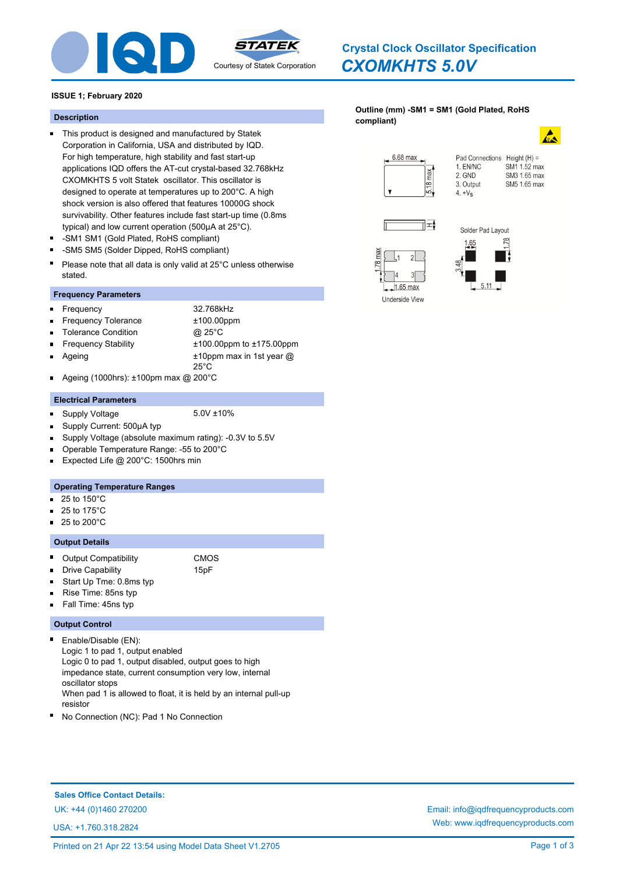

## *CXOMKHTS 5.0V* **Crystal Clock Oscillator Specification**

**[Outline \(mm\) -SM1 = SM1 \(Gold Plated, RoHS](http://www.iqdfrequencyproducts.com/products/search/?type=crystal-clock-oscillator&model=CXOMKHTS 5.0V)** 

### **ISSUE 1; February 2020**

## **compliant) Description**

- This product is designed and manufactured by Statek Corporation in California, USA and distributed by IQD. For high temperature, high stability and fast start-up applications IQD offers the AT-cut crystal-based 32.768kHz CXOMKHTS 5 volt Statek oscillator. This oscillator is designed to operate at temperatures up to 200°C. A high shock version is also offered that features 10000G shock survivability. Other features include fast start-up time (0.8ms typical) and low current operation (500µA at 25°C).
- -SM1 SM1 (Gold Plated, RoHS compliant)
- -SM5 SM5 (Solder Dipped, RoHS compliant)  $\blacksquare$
- Please note that all data is only valid at 25°C unless otherwise stated.

### **Frequency Parameters**

Frequency 32.768kHz

Н

- Frequency Tolerance ±100.00ppm Ē,
- Tolerance Condition @ 25°C
- Ageing Ė

Frequency Stability ±100.00ppm to ±175.00ppm ±10ppm max in 1st year @

Ageing (1000hrs): ±100pm max @ 200°C п

### **Electrical Parameters**

- Supply Voltage 5.0V ±10%  $\blacksquare$
- 

25°C

- Supply Current: 500µA typ  $\blacksquare$
- Supply Voltage (absolute maximum rating): -0.3V to 5.5V
- Operable Temperature Range: -55 to 200°C m.
- Expected Life @ 200°C: 1500hrs min n.

### **Operating Temperature Ranges**

- 25 to 150°C  $\blacksquare$
- 25 to 175°C n.
- 25 to 200°C ÷.

### **Output Details**

- $\blacksquare$ Output Compatibility CMOS
- Drive Capability **15pF** n.
	- Start Up Tme: 0.8ms typ
- Rise Time: 85ns typ
- Fall Time: 45ns typ

### **Output Control**

 $\blacksquare$ 

n

Enable/Disable (EN): Logic 1 to pad 1, output enabled Logic 0 to pad 1, output disabled, output goes to high impedance state, current consumption very low, internal oscillator stops When pad 1 is allowed to float, it is held by an internal pull-up resistor

No Connection (NC): Pad 1 No Connection

## **Sales Office Contact Details:** UK: +44 (0)1460 270200 Email: info@iqdfrequencyproducts.com

USA: +1.760.318.2824

# 6.68 max



#### Pad Connections Height (H) = 1. EN/NC SM1 1.52 max 2. GND SM3 1.65 max 3. Output SM5 1.65 max



 $1.65$  max

Underside View

 $2<sup>1</sup>$ 



 $4. +V<sub>S</sub>$ 

Web: www.iqdfrequencyproducts.com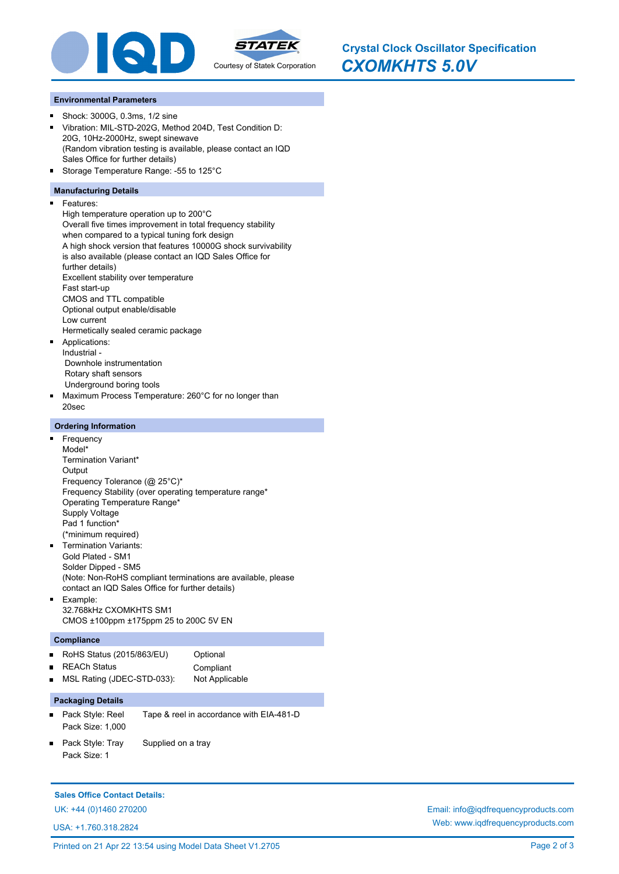

*CXOMKHTS 5.0V* **Crystal Clock Oscillator Specification**

### **Environmental Parameters**

- Shock: 3000G, 0.3ms, 1/2 sine  $\blacksquare$
- Vibration: MIL-STD-202G, Method 204D, Test Condition D: 20G, 10Hz-2000Hz, swept sinewave (Random vibration testing is available, please contact an IQD Sales Office for further details)
- Storage Temperature Range: -55 to 125°C

### **Manufacturing Details**

 $\blacksquare$ 

Features: High temperature operation up to 200°C Overall five times improvement in total frequency stability when compared to a typical tuning fork design A high shock version that features 10000G shock survivability is also available (please contact an IQD Sales Office for further details) Excellent stability over temperature Fast start-up CMOS and TTL compatible Optional output enable/disable Low current Hermetically sealed ceramic package Applications: Industrial - Downhole instrumentation Rotary shaft sensors Underground boring tools

 $\blacksquare$ Maximum Process Temperature: 260°C for no longer than 20sec

### **Ordering Information**

- m. Frequency Model\* Termination Variant\* **Output** Frequency Tolerance (@ 25°C)\* Frequency Stability (over operating temperature range\* Operating Temperature Range\* Supply Voltage Pad 1 function\* (\*minimum required) Termination Variants: Gold Plated - SM1 Solder Dipped - SM5
- (Note: Non-RoHS compliant terminations are available, please contact an IQD Sales Office for further details)
- Example: 32.768kHz CXOMKHTS SM1 CMOS ±100ppm ±175ppm 25 to 200C 5V EN

### **Compliance**

| RoHS Status $(2015/863/EU)$  | Optional       |
|------------------------------|----------------|
| ■ REACh Status               | Compliant      |
| ■ MSL Rating (JDEC-STD-033): | Not Applicable |

## **Packaging Details**

- Pack Style: Reel Tape & reel in accordance with EIA-481-D Pack Size: 1,000
- Pack Style: Tray Supplied on a tray Pack Size: 1

### **Sales Office Contact Details:**

USA: +1.760.318.2824

UK: +44 (0)1460 270200 Email: info@iqdfrequencyproducts.com Web: www.iqdfrequencyproducts.com